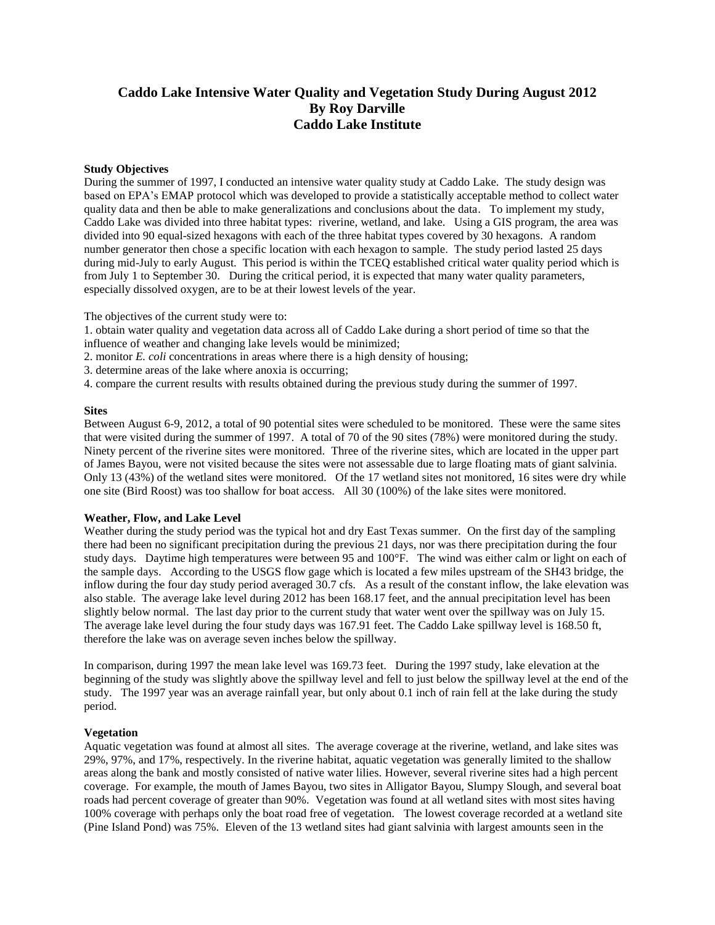# **Caddo Lake Intensive Water Quality and Vegetation Study During August 2012 By Roy Darville Caddo Lake Institute**

## **Study Objectives**

During the summer of 1997, I conducted an intensive water quality study at Caddo Lake. The study design was based on EPA's EMAP protocol which was developed to provide a statistically acceptable method to collect water quality data and then be able to make generalizations and conclusions about the data. To implement my study, Caddo Lake was divided into three habitat types: riverine, wetland, and lake. Using a GIS program, the area was divided into 90 equal-sized hexagons with each of the three habitat types covered by 30 hexagons. A random number generator then chose a specific location with each hexagon to sample. The study period lasted 25 days during mid-July to early August. This period is within the TCEQ established critical water quality period which is from July 1 to September 30. During the critical period, it is expected that many water quality parameters, especially dissolved oxygen, are to be at their lowest levels of the year.

The objectives of the current study were to:

1. obtain water quality and vegetation data across all of Caddo Lake during a short period of time so that the influence of weather and changing lake levels would be minimized;

2. monitor *E. coli* concentrations in areas where there is a high density of housing;

3. determine areas of the lake where anoxia is occurring;

4. compare the current results with results obtained during the previous study during the summer of 1997.

## **Sites**

Between August 6-9, 2012, a total of 90 potential sites were scheduled to be monitored. These were the same sites that were visited during the summer of 1997. A total of 70 of the 90 sites (78%) were monitored during the study. Ninety percent of the riverine sites were monitored. Three of the riverine sites, which are located in the upper part of James Bayou, were not visited because the sites were not assessable due to large floating mats of giant salvinia. Only 13 (43%) of the wetland sites were monitored. Of the 17 wetland sites not monitored, 16 sites were dry while one site (Bird Roost) was too shallow for boat access. All 30 (100%) of the lake sites were monitored.

#### **Weather, Flow, and Lake Level**

Weather during the study period was the typical hot and dry East Texas summer. On the first day of the sampling there had been no significant precipitation during the previous 21 days, nor was there precipitation during the four study days. Daytime high temperatures were between 95 and 100°F. The wind was either calm or light on each of the sample days. According to the USGS flow gage which is located a few miles upstream of the SH43 bridge, the inflow during the four day study period averaged 30.7 cfs. As a result of the constant inflow, the lake elevation was also stable. The average lake level during 2012 has been 168.17 feet, and the annual precipitation level has been slightly below normal. The last day prior to the current study that water went over the spillway was on July 15. The average lake level during the four study days was 167.91 feet. The Caddo Lake spillway level is 168.50 ft, therefore the lake was on average seven inches below the spillway.

In comparison, during 1997 the mean lake level was 169.73 feet. During the 1997 study, lake elevation at the beginning of the study was slightly above the spillway level and fell to just below the spillway level at the end of the study. The 1997 year was an average rainfall year, but only about 0.1 inch of rain fell at the lake during the study period.

#### **Vegetation**

Aquatic vegetation was found at almost all sites. The average coverage at the riverine, wetland, and lake sites was 29%, 97%, and 17%, respectively. In the riverine habitat, aquatic vegetation was generally limited to the shallow areas along the bank and mostly consisted of native water lilies. However, several riverine sites had a high percent coverage. For example, the mouth of James Bayou, two sites in Alligator Bayou, Slumpy Slough, and several boat roads had percent coverage of greater than 90%. Vegetation was found at all wetland sites with most sites having 100% coverage with perhaps only the boat road free of vegetation. The lowest coverage recorded at a wetland site (Pine Island Pond) was 75%. Eleven of the 13 wetland sites had giant salvinia with largest amounts seen in the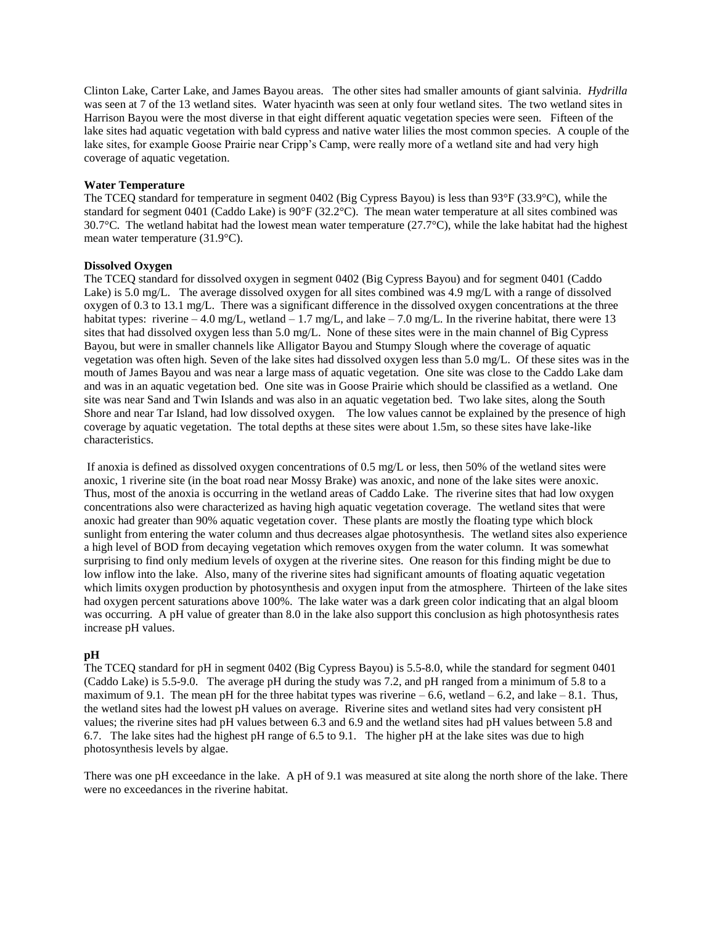Clinton Lake, Carter Lake, and James Bayou areas. The other sites had smaller amounts of giant salvinia. *Hydrilla* was seen at 7 of the 13 wetland sites. Water hyacinth was seen at only four wetland sites. The two wetland sites in Harrison Bayou were the most diverse in that eight different aquatic vegetation species were seen. Fifteen of the lake sites had aquatic vegetation with bald cypress and native water lilies the most common species. A couple of the lake sites, for example Goose Prairie near Cripp's Camp, were really more of a wetland site and had very high coverage of aquatic vegetation.

#### **Water Temperature**

The TCEQ standard for temperature in segment 0402 (Big Cypress Bayou) is less than 93°F (33.9°C), while the standard for segment 0401 (Caddo Lake) is 90°F (32.2°C). The mean water temperature at all sites combined was 30.7°C. The wetland habitat had the lowest mean water temperature (27.7°C), while the lake habitat had the highest mean water temperature (31.9°C).

# **Dissolved Oxygen**

The TCEQ standard for dissolved oxygen in segment 0402 (Big Cypress Bayou) and for segment 0401 (Caddo Lake) is 5.0 mg/L. The average dissolved oxygen for all sites combined was 4.9 mg/L with a range of dissolved oxygen of 0.3 to 13.1 mg/L. There was a significant difference in the dissolved oxygen concentrations at the three habitat types: riverine  $-4.0$  mg/L, wetland  $-1.7$  mg/L, and lake  $-7.0$  mg/L. In the riverine habitat, there were 13 sites that had dissolved oxygen less than 5.0 mg/L. None of these sites were in the main channel of Big Cypress Bayou, but were in smaller channels like Alligator Bayou and Stumpy Slough where the coverage of aquatic vegetation was often high. Seven of the lake sites had dissolved oxygen less than 5.0 mg/L. Of these sites was in the mouth of James Bayou and was near a large mass of aquatic vegetation. One site was close to the Caddo Lake dam and was in an aquatic vegetation bed. One site was in Goose Prairie which should be classified as a wetland. One site was near Sand and Twin Islands and was also in an aquatic vegetation bed. Two lake sites, along the South Shore and near Tar Island, had low dissolved oxygen. The low values cannot be explained by the presence of high coverage by aquatic vegetation. The total depths at these sites were about 1.5m, so these sites have lake-like characteristics.

If anoxia is defined as dissolved oxygen concentrations of 0.5 mg/L or less, then 50% of the wetland sites were anoxic, 1 riverine site (in the boat road near Mossy Brake) was anoxic, and none of the lake sites were anoxic. Thus, most of the anoxia is occurring in the wetland areas of Caddo Lake. The riverine sites that had low oxygen concentrations also were characterized as having high aquatic vegetation coverage. The wetland sites that were anoxic had greater than 90% aquatic vegetation cover. These plants are mostly the floating type which block sunlight from entering the water column and thus decreases algae photosynthesis. The wetland sites also experience a high level of BOD from decaying vegetation which removes oxygen from the water column. It was somewhat surprising to find only medium levels of oxygen at the riverine sites. One reason for this finding might be due to low inflow into the lake. Also, many of the riverine sites had significant amounts of floating aquatic vegetation which limits oxygen production by photosynthesis and oxygen input from the atmosphere. Thirteen of the lake sites had oxygen percent saturations above 100%. The lake water was a dark green color indicating that an algal bloom was occurring. A pH value of greater than 8.0 in the lake also support this conclusion as high photosynthesis rates increase pH values.

# **pH**

The TCEQ standard for pH in segment 0402 (Big Cypress Bayou) is 5.5-8.0, while the standard for segment 0401 (Caddo Lake) is 5.5-9.0. The average pH during the study was 7.2, and pH ranged from a minimum of 5.8 to a maximum of 9.1. The mean pH for the three habitat types was riverine  $-6.6$ , wetland  $-6.2$ , and lake  $-8.1$ . Thus, the wetland sites had the lowest pH values on average. Riverine sites and wetland sites had very consistent pH values; the riverine sites had pH values between 6.3 and 6.9 and the wetland sites had pH values between 5.8 and 6.7. The lake sites had the highest pH range of 6.5 to 9.1. The higher pH at the lake sites was due to high photosynthesis levels by algae.

There was one pH exceedance in the lake. A pH of 9.1 was measured at site along the north shore of the lake. There were no exceedances in the riverine habitat.